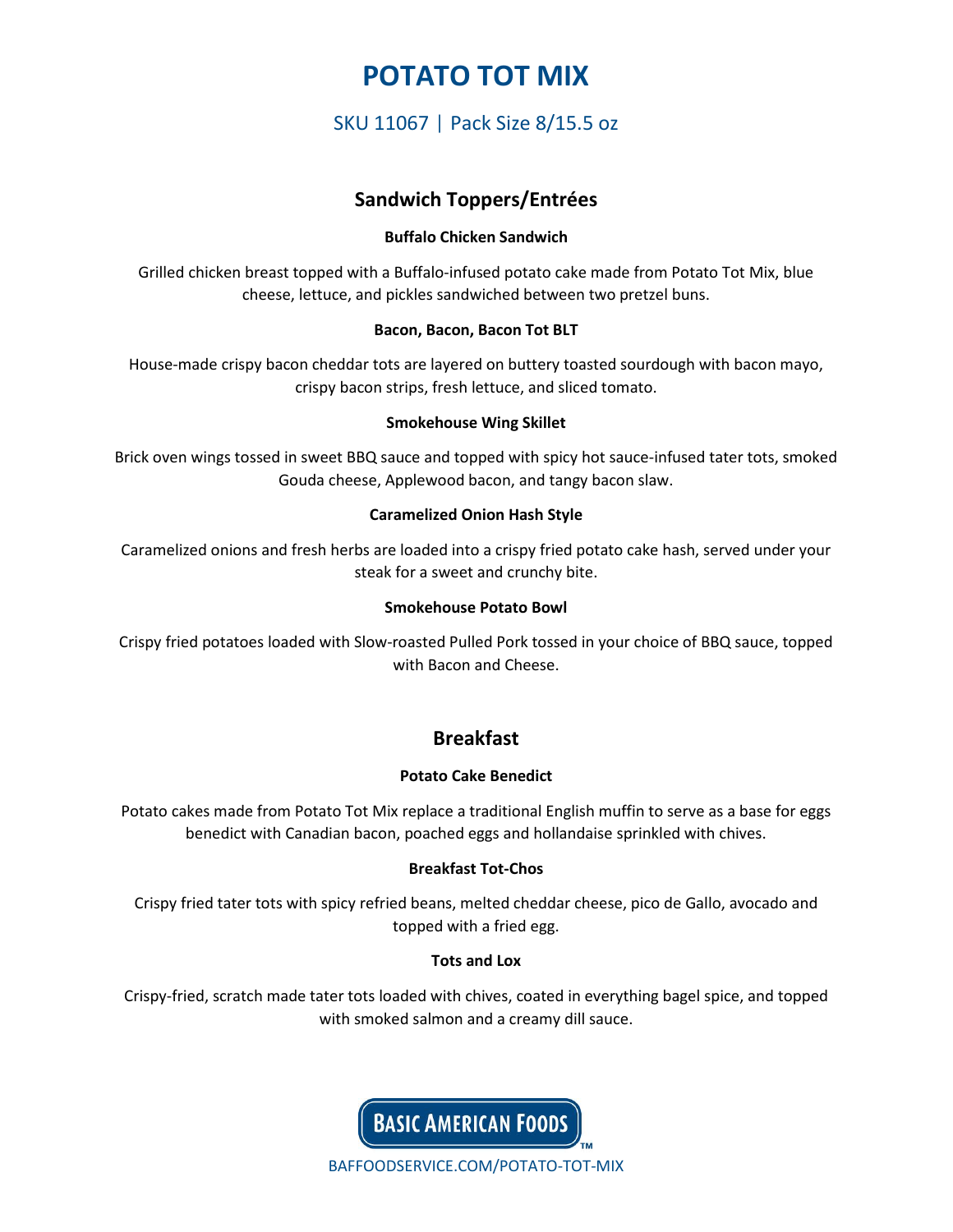# **POTATO TOT MIX**

# SKU 11067 | Pack Size 8/15.5 oz

## **Sandwich Toppers/Entrées**

## **Buffalo Chicken Sandwich**

Grilled chicken breast topped with a Buffalo-infused potato cake made from Potato Tot Mix, blue cheese, lettuce, and pickles sandwiched between two pretzel buns.

### **Bacon, Bacon, Bacon Tot BLT**

House-made crispy bacon cheddar tots are layered on buttery toasted sourdough with bacon mayo, crispy bacon strips, fresh lettuce, and sliced tomato.

### **Smokehouse Wing Skillet**

Brick oven wings tossed in sweet BBQ sauce and topped with spicy hot sauce-infused tater tots, smoked Gouda cheese, Applewood bacon, and tangy bacon slaw.

### **Caramelized Onion Hash Style**

Caramelized onions and fresh herbs are loaded into a crispy fried potato cake hash, served under your steak for a sweet and crunchy bite.

#### **Smokehouse Potato Bowl**

Crispy fried potatoes loaded with Slow-roasted Pulled Pork tossed in your choice of BBQ sauce, topped with Bacon and Cheese.

## **Breakfast**

## **Potato Cake Benedict**

Potato cakes made from Potato Tot Mix replace a traditional English muffin to serve as a base for eggs benedict with Canadian bacon, poached eggs and hollandaise sprinkled with chives.

## **Breakfast Tot-Chos**

Crispy fried tater tots with spicy refried beans, melted cheddar cheese, pico de Gallo, avocado and topped with a fried egg.

## **Tots and Lox**

Crispy-fried, scratch made tater tots loaded with chives, coated in everything bagel spice, and topped with smoked salmon and a creamy dill sauce.



BAFFOODSERVICE.COM/POTATO-TOT-MIX